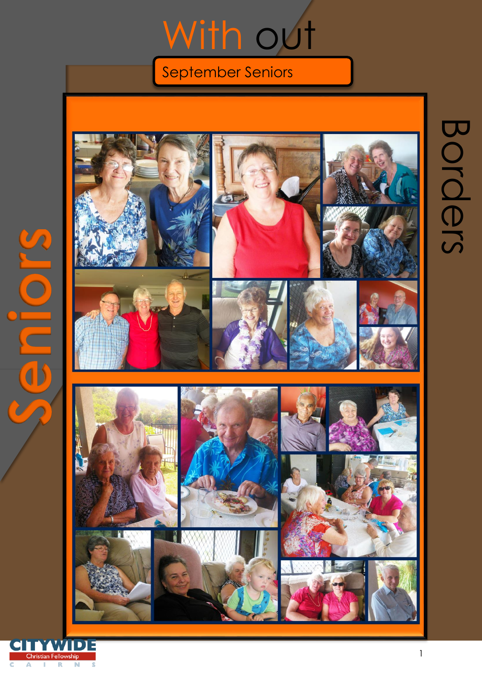## With out

## September Seniors

Fellowship

 $\widehat{\bigcirc}$ 

 $\overline{\mathbf{d}}$ 

Christian Fellowship  $\mathbf R$  $\blacksquare$ 

Α J.

c

 $\overline{\mathbf{s}}$ 



Borders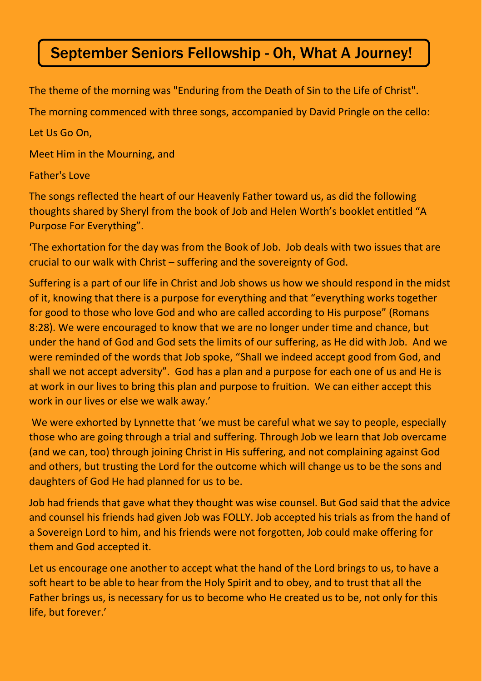## September Seniors Fellowship - Oh, What A Journey!

The theme of the morning was "Enduring from the Death of Sin to the Life of Christ".

The morning commenced with three songs, accompanied by David Pringle on the cello:

Let Us Go On,

Meet Him in the Mourning, and

## Father's Love

The songs reflected the heart of our Heavenly Father toward us, as did the following thoughts shared by Sheryl from the book of Job and Helen Worth's booklet entitled "A Purpose For Everything".

'The exhortation for the day was from the Book of Job. Job deals with two issues that are crucial to our walk with Christ – suffering and the sovereignty of God.

Suffering is a part of our life in Christ and Job shows us how we should respond in the midst of it, knowing that there is a purpose for everything and that "everything works together for good to those who love God and who are called according to His purpose" (Romans 8:28). We were encouraged to know that we are no longer under time and chance, but under the hand of God and God sets the limits of our suffering, as He did with Job. And we were reminded of the words that Job spoke, "Shall we indeed accept good from God, and shall we not accept adversity". God has a plan and a purpose for each one of us and He is at work in our lives to bring this plan and purpose to fruition. We can either accept this work in our lives or else we walk away.'

We were exhorted by Lynnette that 'we must be careful what we say to people, especially those who are going through a trial and suffering. Through Job we learn that Job overcame (and we can, too) through joining Christ in His suffering, and not complaining against God and others, but trusting the Lord for the outcome which will change us to be the sons and daughters of God He had planned for us to be.

Job had friends that gave what they thought was wise counsel. But God said that the advice and counsel his friends had given Job was FOLLY. Job accepted his trials as from the hand of a Sovereign Lord to him, and his friends were not forgotten, Job could make offering for them and God accepted it.

Let us encourage one another to accept what the hand of the Lord brings to us, to have a soft heart to be able to hear from the Holy Spirit and to obey, and to trust that all the Father brings us, is necessary for us to become who He created us to be, not only for this life, but forever.'